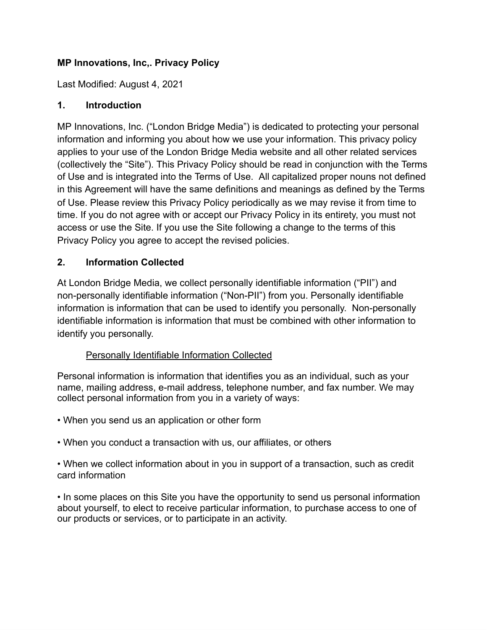#### **MP Innovations, Inc,. Privacy Policy**

Last Modified: August 4, 2021

#### **1. Introduction**

MP Innovations, Inc. ("London Bridge Media") is dedicated to protecting your personal information and informing you about how we use your information. This privacy policy applies to your use of the London Bridge Media website and all other related services (collectively the "Site"). This Privacy Policy should be read in conjunction with the Terms of Use and is integrated into the Terms of Use. All capitalized proper nouns not defined in this Agreement will have the same definitions and meanings as defined by the Terms of Use. Please review this Privacy Policy periodically as we may revise it from time to time. If you do not agree with or accept our Privacy Policy in its entirety, you must not access or use the Site. If you use the Site following a change to the terms of this Privacy Policy you agree to accept the revised policies.

#### **2. Information Collected**

At London Bridge Media, we collect personally identifiable information ("PII") and non-personally identifiable information ("Non-PII") from you. Personally identifiable information is information that can be used to identify you personally. Non-personally identifiable information is information that must be combined with other information to identify you personally.

#### Personally Identifiable Information Collected

Personal information is information that identifies you as an individual, such as your name, mailing address, e-mail address, telephone number, and fax number. We may collect personal information from you in a variety of ways:

- When you send us an application or other form
- When you conduct a transaction with us, our affiliates, or others

• When we collect information about in you in support of a transaction, such as credit card information

• In some places on this Site you have the opportunity to send us personal information about yourself, to elect to receive particular information, to purchase access to one of our products or services, or to participate in an activity.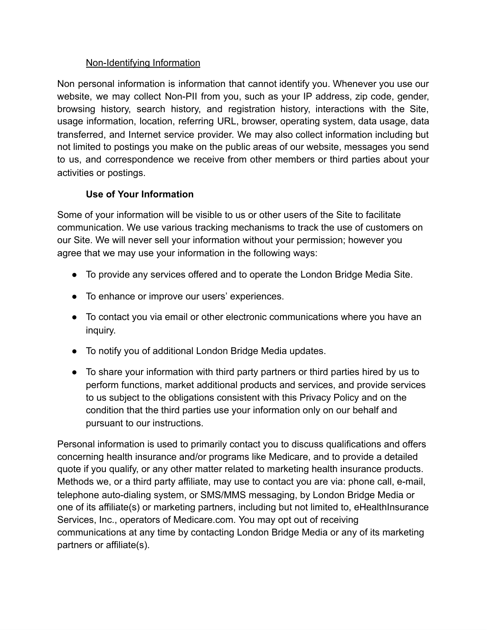#### Non-Identifying Information

Non personal information is information that cannot identify you. Whenever you use our website, we may collect Non-PII from you, such as your IP address, zip code, gender, browsing history, search history, and registration history, interactions with the Site, usage information, location, referring URL, browser, operating system, data usage, data transferred, and Internet service provider. We may also collect information including but not limited to postings you make on the public areas of our website, messages you send to us, and correspondence we receive from other members or third parties about your activities or postings.

# **Use of Your Information**

Some of your information will be visible to us or other users of the Site to facilitate communication. We use various tracking mechanisms to track the use of customers on our Site. We will never sell your information without your permission; however you agree that we may use your information in the following ways:

- To provide any services offered and to operate the London Bridge Media Site.
- To enhance or improve our users' experiences.
- To contact you via email or other electronic communications where you have an inquiry.
- To notify you of additional London Bridge Media updates.
- To share your information with third party partners or third parties hired by us to perform functions, market additional products and services, and provide services to us subject to the obligations consistent with this Privacy Policy and on the condition that the third parties use your information only on our behalf and pursuant to our instructions.

Personal information is used to primarily contact you to discuss qualifications and offers concerning health insurance and/or programs like Medicare, and to provide a detailed quote if you qualify, or any other matter related to marketing health insurance products. Methods we, or a third party affiliate, may use to contact you are via: phone call, e-mail, telephone auto-dialing system, or SMS/MMS messaging, by London Bridge Media or one of its affiliate(s) or marketing partners, including but not limited to, eHealthInsurance Services, Inc., operators of Medicare.com. You may opt out of receiving communications at any time by contacting London Bridge Media or any of its marketing partners or affiliate(s).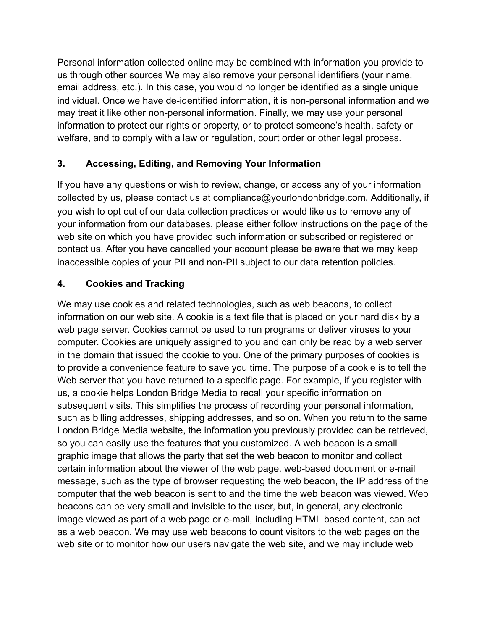Personal information collected online may be combined with information you provide to us through other sources We may also remove your personal identifiers (your name, email address, etc.). In this case, you would no longer be identified as a single unique individual. Once we have de-identified information, it is non-personal information and we may treat it like other non-personal information. Finally, we may use your personal information to protect our rights or property, or to protect someone's health, safety or welfare, and to comply with a law or regulation, court order or other legal process.

### **3. Accessing, Editing, and Removing Your Information**

If you have any questions or wish to review, change, or access any of your information collected by us, please contact us at compliance@yourlondonbridge.com. Additionally, if you wish to opt out of our data collection practices or would like us to remove any of your information from our databases, please either follow instructions on the page of the web site on which you have provided such information or subscribed or registered or contact us. After you have cancelled your account please be aware that we may keep inaccessible copies of your PII and non-PII subject to our data retention policies.

### **4. Cookies and Tracking**

We may use cookies and related technologies, such as web beacons, to collect information on our web site. A cookie is a text file that is placed on your hard disk by a web page server. Cookies cannot be used to run programs or deliver viruses to your computer. Cookies are uniquely assigned to you and can only be read by a web server in the domain that issued the cookie to you. One of the primary purposes of cookies is to provide a convenience feature to save you time. The purpose of a cookie is to tell the Web server that you have returned to a specific page. For example, if you register with us, a cookie helps London Bridge Media to recall your specific information on subsequent visits. This simplifies the process of recording your personal information, such as billing addresses, shipping addresses, and so on. When you return to the same London Bridge Media website, the information you previously provided can be retrieved, so you can easily use the features that you customized. A web beacon is a small graphic image that allows the party that set the web beacon to monitor and collect certain information about the viewer of the web page, web-based document or e-mail message, such as the type of browser requesting the web beacon, the IP address of the computer that the web beacon is sent to and the time the web beacon was viewed. Web beacons can be very small and invisible to the user, but, in general, any electronic image viewed as part of a web page or e-mail, including HTML based content, can act as a web beacon. We may use web beacons to count visitors to the web pages on the web site or to monitor how our users navigate the web site, and we may include web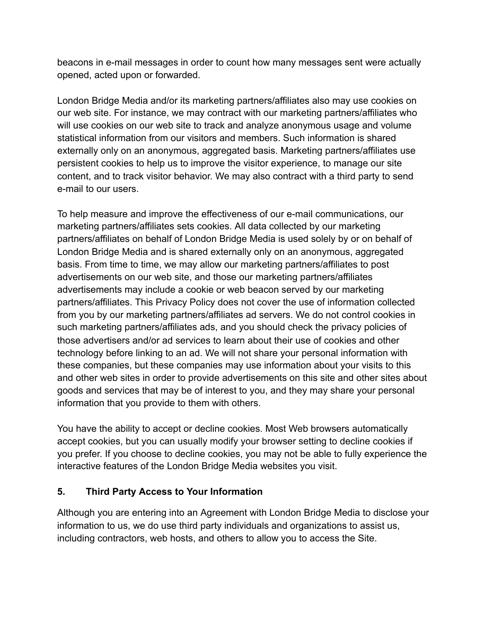beacons in e-mail messages in order to count how many messages sent were actually opened, acted upon or forwarded.

London Bridge Media and/or its marketing partners/affiliates also may use cookies on our web site. For instance, we may contract with our marketing partners/affiliates who will use cookies on our web site to track and analyze anonymous usage and volume statistical information from our visitors and members. Such information is shared externally only on an anonymous, aggregated basis. Marketing partners/affiliates use persistent cookies to help us to improve the visitor experience, to manage our site content, and to track visitor behavior. We may also contract with a third party to send e-mail to our users.

To help measure and improve the effectiveness of our e-mail communications, our marketing partners/affiliates sets cookies. All data collected by our marketing partners/affiliates on behalf of London Bridge Media is used solely by or on behalf of London Bridge Media and is shared externally only on an anonymous, aggregated basis. From time to time, we may allow our marketing partners/affiliates to post advertisements on our web site, and those our marketing partners/affiliates advertisements may include a cookie or web beacon served by our marketing partners/affiliates. This Privacy Policy does not cover the use of information collected from you by our marketing partners/affiliates ad servers. We do not control cookies in such marketing partners/affiliates ads, and you should check the privacy policies of those advertisers and/or ad services to learn about their use of cookies and other technology before linking to an ad. We will not share your personal information with these companies, but these companies may use information about your visits to this and other web sites in order to provide advertisements on this site and other sites about goods and services that may be of interest to you, and they may share your personal information that you provide to them with others.

You have the ability to accept or decline cookies. Most Web browsers automatically accept cookies, but you can usually modify your browser setting to decline cookies if you prefer. If you choose to decline cookies, you may not be able to fully experience the interactive features of the London Bridge Media websites you visit.

#### **5. Third Party Access to Your Information**

Although you are entering into an Agreement with London Bridge Media to disclose your information to us, we do use third party individuals and organizations to assist us, including contractors, web hosts, and others to allow you to access the Site.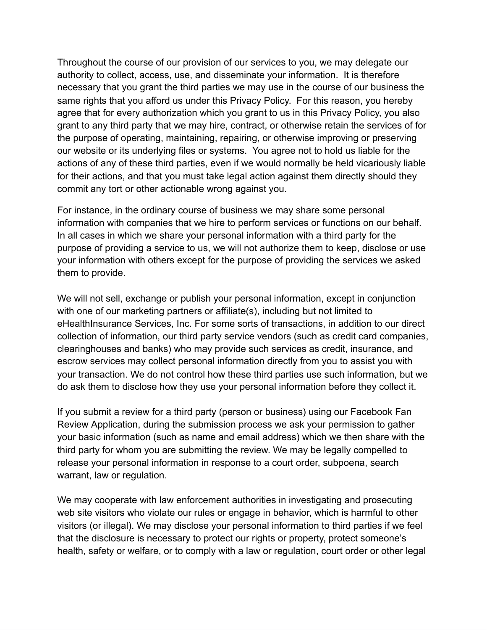Throughout the course of our provision of our services to you, we may delegate our authority to collect, access, use, and disseminate your information. It is therefore necessary that you grant the third parties we may use in the course of our business the same rights that you afford us under this Privacy Policy. For this reason, you hereby agree that for every authorization which you grant to us in this Privacy Policy, you also grant to any third party that we may hire, contract, or otherwise retain the services of for the purpose of operating, maintaining, repairing, or otherwise improving or preserving our website or its underlying files or systems. You agree not to hold us liable for the actions of any of these third parties, even if we would normally be held vicariously liable for their actions, and that you must take legal action against them directly should they commit any tort or other actionable wrong against you.

For instance, in the ordinary course of business we may share some personal information with companies that we hire to perform services or functions on our behalf. In all cases in which we share your personal information with a third party for the purpose of providing a service to us, we will not authorize them to keep, disclose or use your information with others except for the purpose of providing the services we asked them to provide.

We will not sell, exchange or publish your personal information, except in conjunction with one of our marketing partners or affiliate(s), including but not limited to eHealthInsurance Services, Inc. For some sorts of transactions, in addition to our direct collection of information, our third party service vendors (such as credit card companies, clearinghouses and banks) who may provide such services as credit, insurance, and escrow services may collect personal information directly from you to assist you with your transaction. We do not control how these third parties use such information, but we do ask them to disclose how they use your personal information before they collect it.

If you submit a review for a third party (person or business) using our Facebook Fan Review Application, during the submission process we ask your permission to gather your basic information (such as name and email address) which we then share with the third party for whom you are submitting the review. We may be legally compelled to release your personal information in response to a court order, subpoena, search warrant, law or regulation.

We may cooperate with law enforcement authorities in investigating and prosecuting web site visitors who violate our rules or engage in behavior, which is harmful to other visitors (or illegal). We may disclose your personal information to third parties if we feel that the disclosure is necessary to protect our rights or property, protect someone's health, safety or welfare, or to comply with a law or regulation, court order or other legal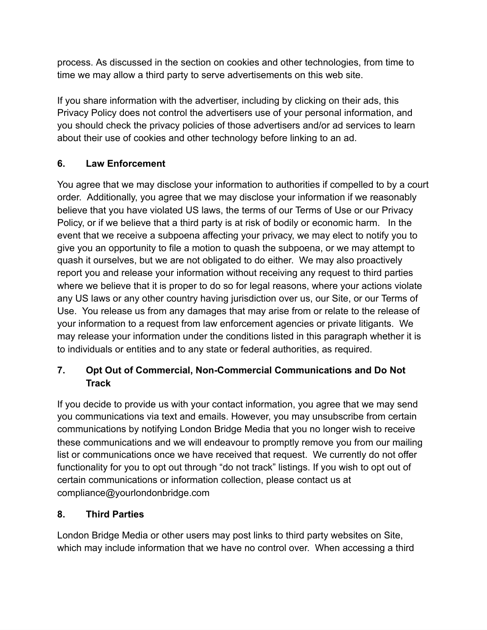process. As discussed in the section on cookies and other technologies, from time to time we may allow a third party to serve advertisements on this web site.

If you share information with the advertiser, including by clicking on their ads, this Privacy Policy does not control the advertisers use of your personal information, and you should check the privacy policies of those advertisers and/or ad services to learn about their use of cookies and other technology before linking to an ad.

# **6. Law Enforcement**

You agree that we may disclose your information to authorities if compelled to by a court order. Additionally, you agree that we may disclose your information if we reasonably believe that you have violated US laws, the terms of our Terms of Use or our Privacy Policy, or if we believe that a third party is at risk of bodily or economic harm. In the event that we receive a subpoena affecting your privacy, we may elect to notify you to give you an opportunity to file a motion to quash the subpoena, or we may attempt to quash it ourselves, but we are not obligated to do either. We may also proactively report you and release your information without receiving any request to third parties where we believe that it is proper to do so for legal reasons, where your actions violate any US laws or any other country having jurisdiction over us, our Site, or our Terms of Use. You release us from any damages that may arise from or relate to the release of your information to a request from law enforcement agencies or private litigants. We may release your information under the conditions listed in this paragraph whether it is to individuals or entities and to any state or federal authorities, as required.

# **7. Opt Out of Commercial, Non-Commercial Communications and Do Not Track**

If you decide to provide us with your contact information, you agree that we may send you communications via text and emails. However, you may unsubscribe from certain communications by notifying London Bridge Media that you no longer wish to receive these communications and we will endeavour to promptly remove you from our mailing list or communications once we have received that request. We currently do not offer functionality for you to opt out through "do not track" listings. If you wish to opt out of certain communications or information collection, please contact us at compliance@yourlondonbridge.com

#### **8. Third Parties**

London Bridge Media or other users may post links to third party websites on Site, which may include information that we have no control over. When accessing a third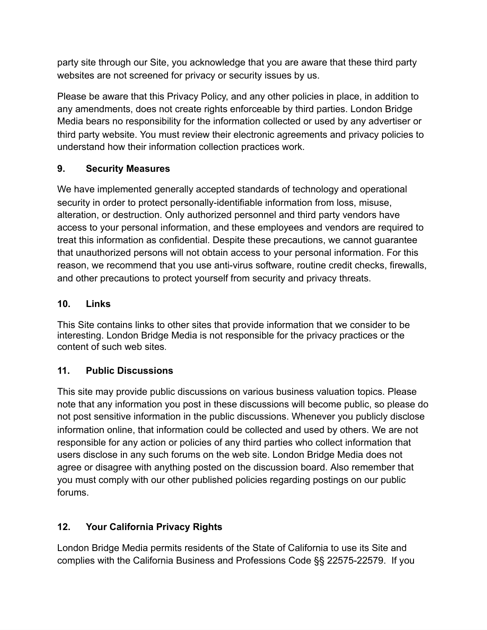party site through our Site, you acknowledge that you are aware that these third party websites are not screened for privacy or security issues by us.

Please be aware that this Privacy Policy, and any other policies in place, in addition to any amendments, does not create rights enforceable by third parties. London Bridge Media bears no responsibility for the information collected or used by any advertiser or third party website. You must review their electronic agreements and privacy policies to understand how their information collection practices work.

### **9. Security Measures**

We have implemented generally accepted standards of technology and operational security in order to protect personally-identifiable information from loss, misuse, alteration, or destruction. Only authorized personnel and third party vendors have access to your personal information, and these employees and vendors are required to treat this information as confidential. Despite these precautions, we cannot guarantee that unauthorized persons will not obtain access to your personal information. For this reason, we recommend that you use anti-virus software, routine credit checks, firewalls, and other precautions to protect yourself from security and privacy threats.

# **10. Links**

This Site contains links to other sites that provide information that we consider to be interesting. London Bridge Media is not responsible for the privacy practices or the content of such web sites.

# **11. Public Discussions**

This site may provide public discussions on various business valuation topics. Please note that any information you post in these discussions will become public, so please do not post sensitive information in the public discussions. Whenever you publicly disclose information online, that information could be collected and used by others. We are not responsible for any action or policies of any third parties who collect information that users disclose in any such forums on the web site. London Bridge Media does not agree or disagree with anything posted on the discussion board. Also remember that you must comply with our other published policies regarding postings on our public forums.

# **12. Your California Privacy Rights**

London Bridge Media permits residents of the State of California to use its Site and complies with the California Business and Professions Code §§ 22575-22579. If you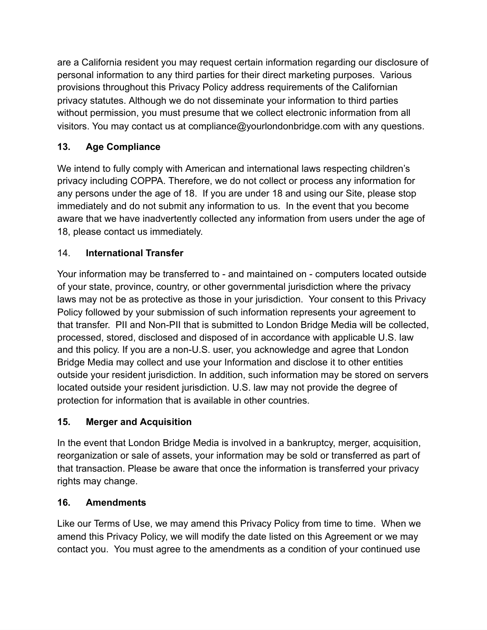are a California resident you may request certain information regarding our disclosure of personal information to any third parties for their direct marketing purposes. Various provisions throughout this Privacy Policy address requirements of the Californian privacy statutes. Although we do not disseminate your information to third parties without permission, you must presume that we collect electronic information from all visitors. You may contact us at compliance@yourlondonbridge.com with any questions.

# **13. Age Compliance**

We intend to fully comply with American and international laws respecting children's privacy including COPPA. Therefore, we do not collect or process any information for any persons under the age of 18. If you are under 18 and using our Site, please stop immediately and do not submit any information to us. In the event that you become aware that we have inadvertently collected any information from users under the age of 18, please contact us immediately.

# 14. **International Transfer**

Your information may be transferred to - and maintained on - computers located outside of your state, province, country, or other governmental jurisdiction where the privacy laws may not be as protective as those in your jurisdiction. Your consent to this Privacy Policy followed by your submission of such information represents your agreement to that transfer. PII and Non-PII that is submitted to London Bridge Media will be collected, processed, stored, disclosed and disposed of in accordance with applicable U.S. law and this policy. If you are a non-U.S. user, you acknowledge and agree that London Bridge Media may collect and use your Information and disclose it to other entities outside your resident jurisdiction. In addition, such information may be stored on servers located outside your resident jurisdiction. U.S. law may not provide the degree of protection for information that is available in other countries.

# **15. Merger and Acquisition**

In the event that London Bridge Media is involved in a bankruptcy, merger, acquisition, reorganization or sale of assets, your information may be sold or transferred as part of that transaction. Please be aware that once the information is transferred your privacy rights may change.

# **16. Amendments**

Like our Terms of Use, we may amend this Privacy Policy from time to time. When we amend this Privacy Policy, we will modify the date listed on this Agreement or we may contact you. You must agree to the amendments as a condition of your continued use